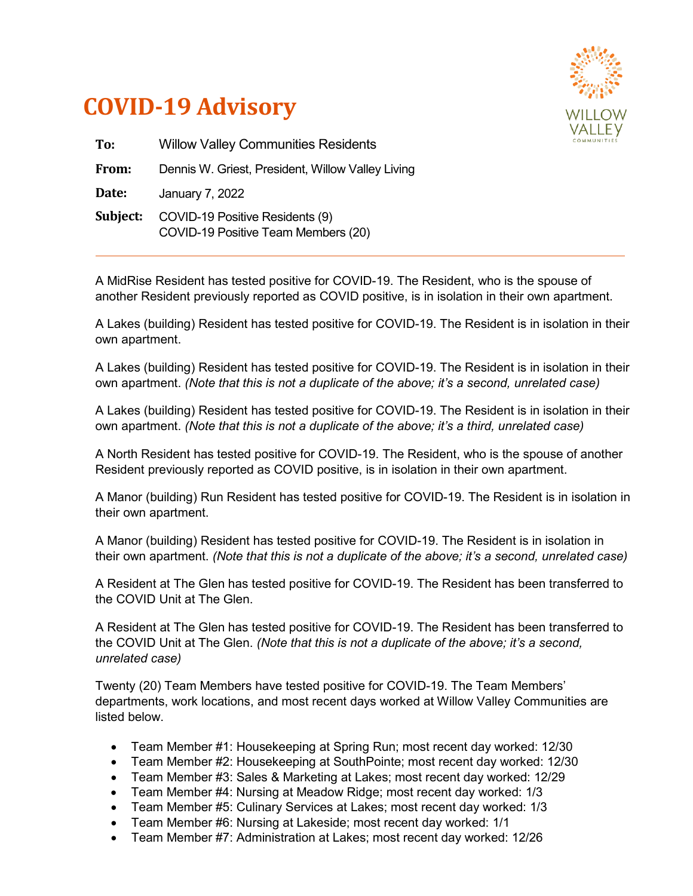



| To:      | <b>Willow Valley Communities Residents</b>                             |
|----------|------------------------------------------------------------------------|
| From:    | Dennis W. Griest, President, Willow Valley Living                      |
| Date:    | January 7, 2022                                                        |
| Subject: | COVID-19 Positive Residents (9)<br>COVID-19 Positive Team Members (20) |

A MidRise Resident has tested positive for COVID-19. The Resident, who is the spouse of another Resident previously reported as COVID positive, is in isolation in their own apartment.

A Lakes (building) Resident has tested positive for COVID-19. The Resident is in isolation in their own apartment.

A Lakes (building) Resident has tested positive for COVID-19. The Resident is in isolation in their own apartment. *(Note that this is not a duplicate of the above; it's a second, unrelated case)*

A Lakes (building) Resident has tested positive for COVID-19. The Resident is in isolation in their own apartment. *(Note that this is not a duplicate of the above; it's a third, unrelated case)*

A North Resident has tested positive for COVID-19. The Resident, who is the spouse of another Resident previously reported as COVID positive, is in isolation in their own apartment.

A Manor (building) Run Resident has tested positive for COVID-19. The Resident is in isolation in their own apartment.

A Manor (building) Resident has tested positive for COVID-19. The Resident is in isolation in their own apartment. *(Note that this is not a duplicate of the above; it's a second, unrelated case)*

A Resident at The Glen has tested positive for COVID-19. The Resident has been transferred to the COVID Unit at The Glen.

A Resident at The Glen has tested positive for COVID-19. The Resident has been transferred to the COVID Unit at The Glen. *(Note that this is not a duplicate of the above; it's a second, unrelated case)*

Twenty (20) Team Members have tested positive for COVID-19. The Team Members' departments, work locations, and most recent days worked at Willow Valley Communities are listed below.

- Team Member #1: Housekeeping at Spring Run; most recent day worked: 12/30
- Team Member #2: Housekeeping at SouthPointe; most recent day worked: 12/30
- Team Member #3: Sales & Marketing at Lakes; most recent day worked: 12/29
- Team Member #4: Nursing at Meadow Ridge; most recent day worked: 1/3
- Team Member #5: Culinary Services at Lakes; most recent day worked: 1/3
- Team Member #6: Nursing at Lakeside; most recent day worked: 1/1
- Team Member #7: Administration at Lakes; most recent day worked: 12/26